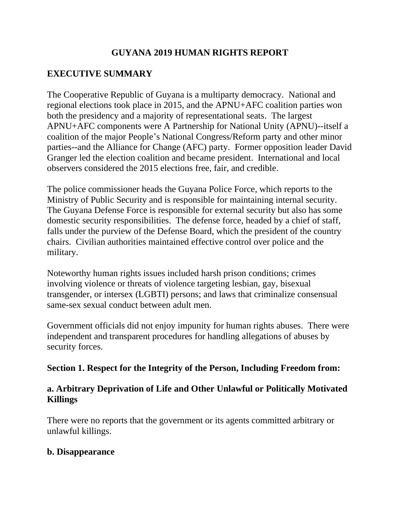# **GUYANA 2019 HUMAN RIGHTS REPORT**

# **EXECUTIVE SUMMARY**

The Cooperative Republic of Guyana is a multiparty democracy. National and regional elections took place in 2015, and the APNU+AFC coalition parties won both the presidency and a majority of representational seats. The largest APNU+AFC components were A Partnership for National Unity (APNU)--itself a coalition of the major People's National Congress/Reform party and other minor parties--and the Alliance for Change (AFC) party. Former opposition leader David Granger led the election coalition and became president. International and local observers considered the 2015 elections free, fair, and credible.

The police commissioner heads the Guyana Police Force, which reports to the Ministry of Public Security and is responsible for maintaining internal security. The Guyana Defense Force is responsible for external security but also has some domestic security responsibilities. The defense force, headed by a chief of staff, falls under the purview of the Defense Board, which the president of the country chairs. Civilian authorities maintained effective control over police and the military.

Noteworthy human rights issues included harsh prison conditions; crimes involving violence or threats of violence targeting lesbian, gay, bisexual transgender, or intersex (LGBTI) persons; and laws that criminalize consensual same-sex sexual conduct between adult men.

Government officials did not enjoy impunity for human rights abuses. There were independent and transparent procedures for handling allegations of abuses by security forces.

## **Section 1. Respect for the Integrity of the Person, Including Freedom from:**

# **a. Arbitrary Deprivation of Life and Other Unlawful or Politically Motivated Killings**

There were no reports that the government or its agents committed arbitrary or unlawful killings.

## **b. Disappearance**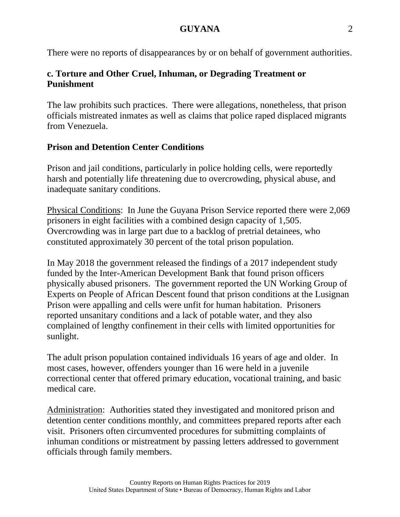There were no reports of disappearances by or on behalf of government authorities.

# **c. Torture and Other Cruel, Inhuman, or Degrading Treatment or Punishment**

The law prohibits such practices. There were allegations, nonetheless, that prison officials mistreated inmates as well as claims that police raped displaced migrants from Venezuela.

# **Prison and Detention Center Conditions**

Prison and jail conditions, particularly in police holding cells, were reportedly harsh and potentially life threatening due to overcrowding, physical abuse, and inadequate sanitary conditions.

Physical Conditions: In June the Guyana Prison Service reported there were 2,069 prisoners in eight facilities with a combined design capacity of 1,505. Overcrowding was in large part due to a backlog of pretrial detainees, who constituted approximately 30 percent of the total prison population.

In May 2018 the government released the findings of a 2017 independent study funded by the Inter-American Development Bank that found prison officers physically abused prisoners. The government reported the UN Working Group of Experts on People of African Descent found that prison conditions at the Lusignan Prison were appalling and cells were unfit for human habitation. Prisoners reported unsanitary conditions and a lack of potable water, and they also complained of lengthy confinement in their cells with limited opportunities for sunlight.

The adult prison population contained individuals 16 years of age and older. In most cases, however, offenders younger than 16 were held in a juvenile correctional center that offered primary education, vocational training, and basic medical care.

Administration: Authorities stated they investigated and monitored prison and detention center conditions monthly, and committees prepared reports after each visit. Prisoners often circumvented procedures for submitting complaints of inhuman conditions or mistreatment by passing letters addressed to government officials through family members.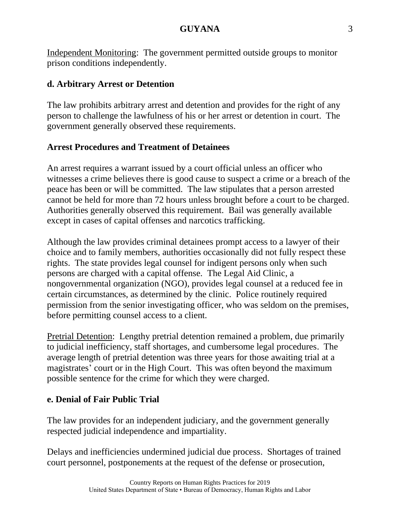Independent Monitoring: The government permitted outside groups to monitor prison conditions independently.

### **d. Arbitrary Arrest or Detention**

The law prohibits arbitrary arrest and detention and provides for the right of any person to challenge the lawfulness of his or her arrest or detention in court. The government generally observed these requirements.

## **Arrest Procedures and Treatment of Detainees**

An arrest requires a warrant issued by a court official unless an officer who witnesses a crime believes there is good cause to suspect a crime or a breach of the peace has been or will be committed. The law stipulates that a person arrested cannot be held for more than 72 hours unless brought before a court to be charged. Authorities generally observed this requirement. Bail was generally available except in cases of capital offenses and narcotics trafficking.

Although the law provides criminal detainees prompt access to a lawyer of their choice and to family members, authorities occasionally did not fully respect these rights. The state provides legal counsel for indigent persons only when such persons are charged with a capital offense. The Legal Aid Clinic, a nongovernmental organization (NGO), provides legal counsel at a reduced fee in certain circumstances, as determined by the clinic. Police routinely required permission from the senior investigating officer, who was seldom on the premises, before permitting counsel access to a client.

Pretrial Detention: Lengthy pretrial detention remained a problem, due primarily to judicial inefficiency, staff shortages, and cumbersome legal procedures. The average length of pretrial detention was three years for those awaiting trial at a magistrates' court or in the High Court. This was often beyond the maximum possible sentence for the crime for which they were charged.

# **e. Denial of Fair Public Trial**

The law provides for an independent judiciary, and the government generally respected judicial independence and impartiality.

Delays and inefficiencies undermined judicial due process. Shortages of trained court personnel, postponements at the request of the defense or prosecution,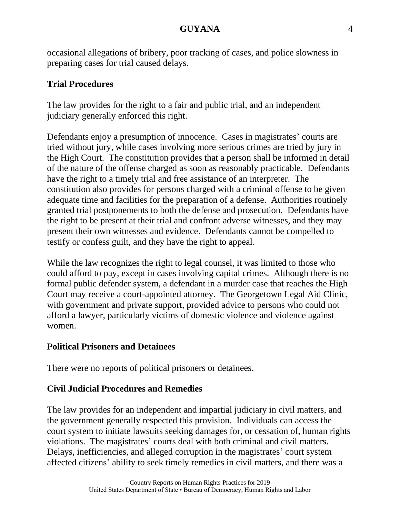occasional allegations of bribery, poor tracking of cases, and police slowness in preparing cases for trial caused delays.

#### **Trial Procedures**

The law provides for the right to a fair and public trial, and an independent judiciary generally enforced this right.

Defendants enjoy a presumption of innocence. Cases in magistrates' courts are tried without jury, while cases involving more serious crimes are tried by jury in the High Court. The constitution provides that a person shall be informed in detail of the nature of the offense charged as soon as reasonably practicable. Defendants have the right to a timely trial and free assistance of an interpreter. The constitution also provides for persons charged with a criminal offense to be given adequate time and facilities for the preparation of a defense. Authorities routinely granted trial postponements to both the defense and prosecution. Defendants have the right to be present at their trial and confront adverse witnesses, and they may present their own witnesses and evidence. Defendants cannot be compelled to testify or confess guilt, and they have the right to appeal.

While the law recognizes the right to legal counsel, it was limited to those who could afford to pay, except in cases involving capital crimes. Although there is no formal public defender system, a defendant in a murder case that reaches the High Court may receive a court-appointed attorney. The Georgetown Legal Aid Clinic, with government and private support, provided advice to persons who could not afford a lawyer, particularly victims of domestic violence and violence against women.

#### **Political Prisoners and Detainees**

There were no reports of political prisoners or detainees.

#### **Civil Judicial Procedures and Remedies**

The law provides for an independent and impartial judiciary in civil matters, and the government generally respected this provision. Individuals can access the court system to initiate lawsuits seeking damages for, or cessation of, human rights violations. The magistrates' courts deal with both criminal and civil matters. Delays, inefficiencies, and alleged corruption in the magistrates' court system affected citizens' ability to seek timely remedies in civil matters, and there was a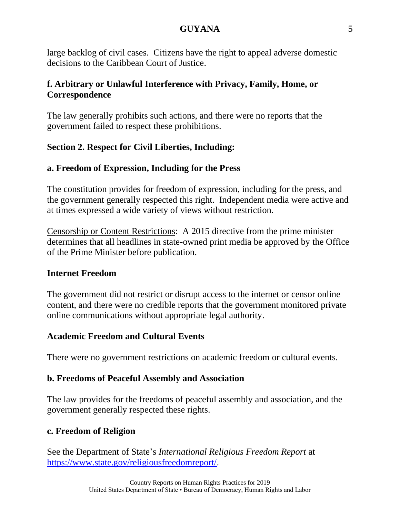large backlog of civil cases. Citizens have the right to appeal adverse domestic decisions to the Caribbean Court of Justice.

## **f. Arbitrary or Unlawful Interference with Privacy, Family, Home, or Correspondence**

The law generally prohibits such actions, and there were no reports that the government failed to respect these prohibitions.

# **Section 2. Respect for Civil Liberties, Including:**

# **a. Freedom of Expression, Including for the Press**

The constitution provides for freedom of expression, including for the press, and the government generally respected this right. Independent media were active and at times expressed a wide variety of views without restriction.

Censorship or Content Restrictions: A 2015 directive from the prime minister determines that all headlines in state-owned print media be approved by the Office of the Prime Minister before publication.

## **Internet Freedom**

The government did not restrict or disrupt access to the internet or censor online content, and there were no credible reports that the government monitored private online communications without appropriate legal authority.

## **Academic Freedom and Cultural Events**

There were no government restrictions on academic freedom or cultural events.

## **b. Freedoms of Peaceful Assembly and Association**

The law provides for the freedoms of peaceful assembly and association, and the government generally respected these rights.

## **c. Freedom of Religion**

See the Department of State's *International Religious Freedom Report* at [https://www.state.gov/religiousfreedomreport/.](https://www.state.gov/religiousfreedomreport/)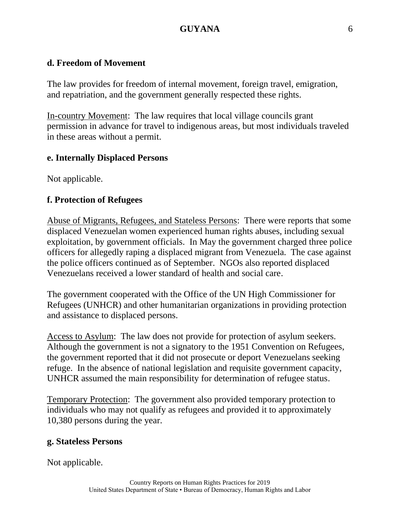#### **d. Freedom of Movement**

The law provides for freedom of internal movement, foreign travel, emigration, and repatriation, and the government generally respected these rights.

In-country Movement: The law requires that local village councils grant permission in advance for travel to indigenous areas, but most individuals traveled in these areas without a permit.

#### **e. Internally Displaced Persons**

Not applicable.

#### **f. Protection of Refugees**

Abuse of Migrants, Refugees, and Stateless Persons: There were reports that some displaced Venezuelan women experienced human rights abuses, including sexual exploitation, by government officials. In May the government charged three police officers for allegedly raping a displaced migrant from Venezuela. The case against the police officers continued as of September. NGOs also reported displaced Venezuelans received a lower standard of health and social care.

The government cooperated with the Office of the UN High Commissioner for Refugees (UNHCR) and other humanitarian organizations in providing protection and assistance to displaced persons.

Access to Asylum: The law does not provide for protection of asylum seekers. Although the government is not a signatory to the 1951 Convention on Refugees, the government reported that it did not prosecute or deport Venezuelans seeking refuge. In the absence of national legislation and requisite government capacity, UNHCR assumed the main responsibility for determination of refugee status.

Temporary Protection: The government also provided temporary protection to individuals who may not qualify as refugees and provided it to approximately 10,380 persons during the year.

#### **g. Stateless Persons**

Not applicable.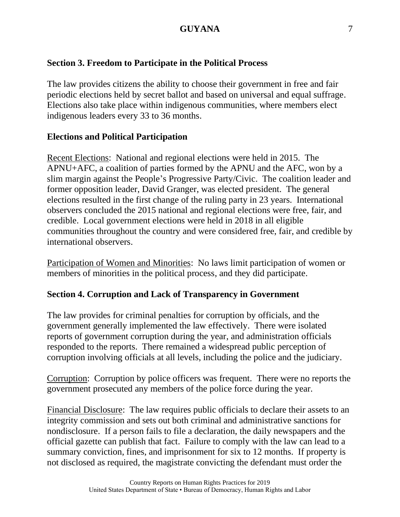### **Section 3. Freedom to Participate in the Political Process**

The law provides citizens the ability to choose their government in free and fair periodic elections held by secret ballot and based on universal and equal suffrage. Elections also take place within indigenous communities, where members elect indigenous leaders every 33 to 36 months.

#### **Elections and Political Participation**

Recent Elections: National and regional elections were held in 2015. The APNU+AFC, a coalition of parties formed by the APNU and the AFC, won by a slim margin against the People's Progressive Party/Civic. The coalition leader and former opposition leader, David Granger, was elected president. The general elections resulted in the first change of the ruling party in 23 years. International observers concluded the 2015 national and regional elections were free, fair, and credible. Local government elections were held in 2018 in all eligible communities throughout the country and were considered free, fair, and credible by international observers.

Participation of Women and Minorities: No laws limit participation of women or members of minorities in the political process, and they did participate.

#### **Section 4. Corruption and Lack of Transparency in Government**

The law provides for criminal penalties for corruption by officials, and the government generally implemented the law effectively. There were isolated reports of government corruption during the year, and administration officials responded to the reports. There remained a widespread public perception of corruption involving officials at all levels, including the police and the judiciary.

Corruption: Corruption by police officers was frequent. There were no reports the government prosecuted any members of the police force during the year.

Financial Disclosure: The law requires public officials to declare their assets to an integrity commission and sets out both criminal and administrative sanctions for nondisclosure. If a person fails to file a declaration, the daily newspapers and the official gazette can publish that fact. Failure to comply with the law can lead to a summary conviction, fines, and imprisonment for six to 12 months. If property is not disclosed as required, the magistrate convicting the defendant must order the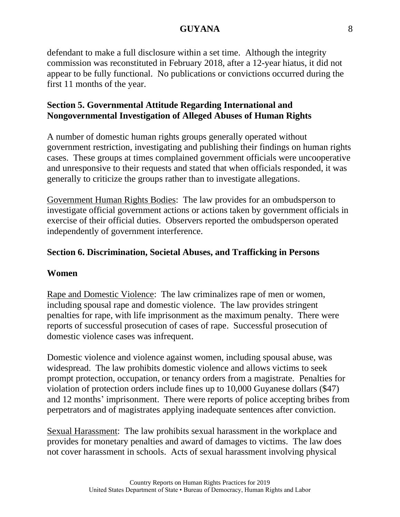defendant to make a full disclosure within a set time. Although the integrity commission was reconstituted in February 2018, after a 12-year hiatus, it did not appear to be fully functional. No publications or convictions occurred during the first 11 months of the year.

## **Section 5. Governmental Attitude Regarding International and Nongovernmental Investigation of Alleged Abuses of Human Rights**

A number of domestic human rights groups generally operated without government restriction, investigating and publishing their findings on human rights cases. These groups at times complained government officials were uncooperative and unresponsive to their requests and stated that when officials responded, it was generally to criticize the groups rather than to investigate allegations.

Government Human Rights Bodies: The law provides for an ombudsperson to investigate official government actions or actions taken by government officials in exercise of their official duties. Observers reported the ombudsperson operated independently of government interference.

## **Section 6. Discrimination, Societal Abuses, and Trafficking in Persons**

#### **Women**

Rape and Domestic Violence: The law criminalizes rape of men or women, including spousal rape and domestic violence. The law provides stringent penalties for rape, with life imprisonment as the maximum penalty. There were reports of successful prosecution of cases of rape. Successful prosecution of domestic violence cases was infrequent.

Domestic violence and violence against women, including spousal abuse, was widespread. The law prohibits domestic violence and allows victims to seek prompt protection, occupation, or tenancy orders from a magistrate. Penalties for violation of protection orders include fines up to 10,000 Guyanese dollars (\$47) and 12 months' imprisonment. There were reports of police accepting bribes from perpetrators and of magistrates applying inadequate sentences after conviction.

Sexual Harassment: The law prohibits sexual harassment in the workplace and provides for monetary penalties and award of damages to victims. The law does not cover harassment in schools. Acts of sexual harassment involving physical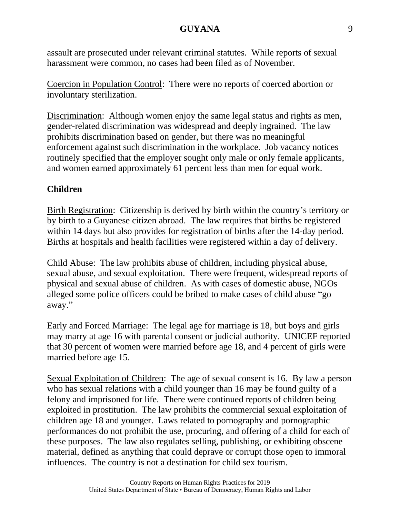assault are prosecuted under relevant criminal statutes. While reports of sexual harassment were common, no cases had been filed as of November.

Coercion in Population Control: There were no reports of coerced abortion or involuntary sterilization.

Discrimination: Although women enjoy the same legal status and rights as men, gender-related discrimination was widespread and deeply ingrained. The law prohibits discrimination based on gender, but there was no meaningful enforcement against such discrimination in the workplace. Job vacancy notices routinely specified that the employer sought only male or only female applicants, and women earned approximately 61 percent less than men for equal work.

# **Children**

Birth Registration: Citizenship is derived by birth within the country's territory or by birth to a Guyanese citizen abroad. The law requires that births be registered within 14 days but also provides for registration of births after the 14-day period. Births at hospitals and health facilities were registered within a day of delivery.

Child Abuse: The law prohibits abuse of children, including physical abuse, sexual abuse, and sexual exploitation. There were frequent, widespread reports of physical and sexual abuse of children. As with cases of domestic abuse, NGOs alleged some police officers could be bribed to make cases of child abuse "go away."

Early and Forced Marriage: The legal age for marriage is 18, but boys and girls may marry at age 16 with parental consent or judicial authority. UNICEF reported that 30 percent of women were married before age 18, and 4 percent of girls were married before age 15.

Sexual Exploitation of Children: The age of sexual consent is 16. By law a person who has sexual relations with a child younger than 16 may be found guilty of a felony and imprisoned for life. There were continued reports of children being exploited in prostitution. The law prohibits the commercial sexual exploitation of children age 18 and younger. Laws related to pornography and pornographic performances do not prohibit the use, procuring, and offering of a child for each of these purposes. The law also regulates selling, publishing, or exhibiting obscene material, defined as anything that could deprave or corrupt those open to immoral influences. The country is not a destination for child sex tourism.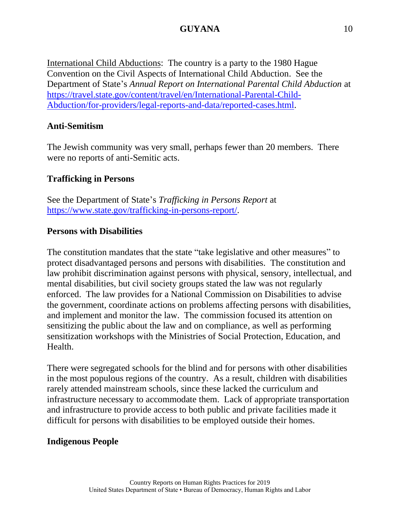International Child Abductions: The country is a party to the 1980 Hague Convention on the Civil Aspects of International Child Abduction. See the Department of State's *Annual Report on International Parental Child Abduction* at [https://travel.state.gov/content/travel/en/International-Parental-Child-](https://travel.state.gov/content/travel/en/International-Parental-Child-Abduction/for-providers/legal-reports-and-data/reported-cases.html)[Abduction/for-providers/legal-reports-and-data/reported-cases.html.](https://travel.state.gov/content/travel/en/International-Parental-Child-Abduction/for-providers/legal-reports-and-data/reported-cases.html)

## **Anti-Semitism**

The Jewish community was very small, perhaps fewer than 20 members. There were no reports of anti-Semitic acts.

# **Trafficking in Persons**

See the Department of State's *Trafficking in Persons Report* at [https://www.state.gov/trafficking-in-persons-report/.](https://www.state.gov/trafficking-in-persons-report/)

## **Persons with Disabilities**

The constitution mandates that the state "take legislative and other measures" to protect disadvantaged persons and persons with disabilities. The constitution and law prohibit discrimination against persons with physical, sensory, intellectual, and mental disabilities, but civil society groups stated the law was not regularly enforced. The law provides for a National Commission on Disabilities to advise the government, coordinate actions on problems affecting persons with disabilities, and implement and monitor the law. The commission focused its attention on sensitizing the public about the law and on compliance, as well as performing sensitization workshops with the Ministries of Social Protection, Education, and Health.

There were segregated schools for the blind and for persons with other disabilities in the most populous regions of the country. As a result, children with disabilities rarely attended mainstream schools, since these lacked the curriculum and infrastructure necessary to accommodate them. Lack of appropriate transportation and infrastructure to provide access to both public and private facilities made it difficult for persons with disabilities to be employed outside their homes.

## **Indigenous People**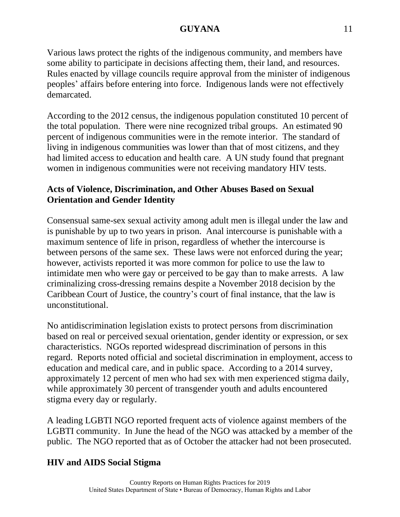Various laws protect the rights of the indigenous community, and members have some ability to participate in decisions affecting them, their land, and resources. Rules enacted by village councils require approval from the minister of indigenous peoples' affairs before entering into force. Indigenous lands were not effectively demarcated.

According to the 2012 census, the indigenous population constituted 10 percent of the total population. There were nine recognized tribal groups. An estimated 90 percent of indigenous communities were in the remote interior. The standard of living in indigenous communities was lower than that of most citizens, and they had limited access to education and health care. A UN study found that pregnant women in indigenous communities were not receiving mandatory HIV tests.

# **Acts of Violence, Discrimination, and Other Abuses Based on Sexual Orientation and Gender Identity**

Consensual same-sex sexual activity among adult men is illegal under the law and is punishable by up to two years in prison. Anal intercourse is punishable with a maximum sentence of life in prison, regardless of whether the intercourse is between persons of the same sex. These laws were not enforced during the year; however, activists reported it was more common for police to use the law to intimidate men who were gay or perceived to be gay than to make arrests. A law criminalizing cross-dressing remains despite a November 2018 decision by the Caribbean Court of Justice, the country's court of final instance, that the law is unconstitutional.

No antidiscrimination legislation exists to protect persons from discrimination based on real or perceived sexual orientation, gender identity or expression, or sex characteristics. NGOs reported widespread discrimination of persons in this regard. Reports noted official and societal discrimination in employment, access to education and medical care, and in public space. According to a 2014 survey, approximately 12 percent of men who had sex with men experienced stigma daily, while approximately 30 percent of transgender youth and adults encountered stigma every day or regularly.

A leading LGBTI NGO reported frequent acts of violence against members of the LGBTI community. In June the head of the NGO was attacked by a member of the public. The NGO reported that as of October the attacker had not been prosecuted.

# **HIV and AIDS Social Stigma**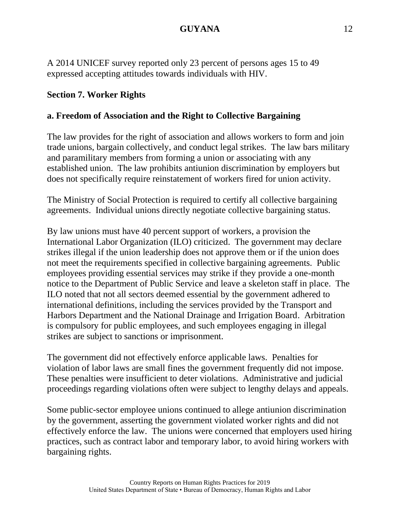A 2014 UNICEF survey reported only 23 percent of persons ages 15 to 49 expressed accepting attitudes towards individuals with HIV.

## **Section 7. Worker Rights**

## **a. Freedom of Association and the Right to Collective Bargaining**

The law provides for the right of association and allows workers to form and join trade unions, bargain collectively, and conduct legal strikes. The law bars military and paramilitary members from forming a union or associating with any established union. The law prohibits antiunion discrimination by employers but does not specifically require reinstatement of workers fired for union activity.

The Ministry of Social Protection is required to certify all collective bargaining agreements. Individual unions directly negotiate collective bargaining status.

By law unions must have 40 percent support of workers, a provision the International Labor Organization (ILO) criticized. The government may declare strikes illegal if the union leadership does not approve them or if the union does not meet the requirements specified in collective bargaining agreements. Public employees providing essential services may strike if they provide a one-month notice to the Department of Public Service and leave a skeleton staff in place. The ILO noted that not all sectors deemed essential by the government adhered to international definitions, including the services provided by the Transport and Harbors Department and the National Drainage and Irrigation Board. Arbitration is compulsory for public employees, and such employees engaging in illegal strikes are subject to sanctions or imprisonment.

The government did not effectively enforce applicable laws. Penalties for violation of labor laws are small fines the government frequently did not impose. These penalties were insufficient to deter violations. Administrative and judicial proceedings regarding violations often were subject to lengthy delays and appeals.

Some public-sector employee unions continued to allege antiunion discrimination by the government, asserting the government violated worker rights and did not effectively enforce the law. The unions were concerned that employers used hiring practices, such as contract labor and temporary labor, to avoid hiring workers with bargaining rights.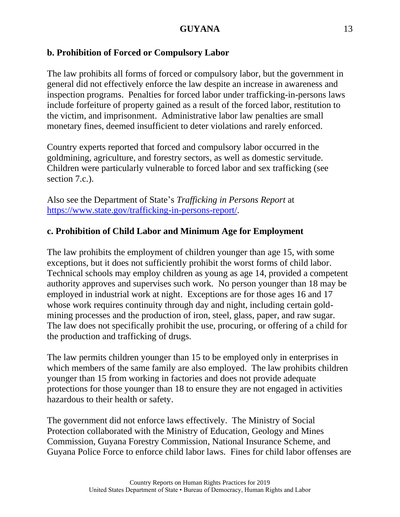# **b. Prohibition of Forced or Compulsory Labor**

The law prohibits all forms of forced or compulsory labor, but the government in general did not effectively enforce the law despite an increase in awareness and inspection programs. Penalties for forced labor under trafficking-in-persons laws include forfeiture of property gained as a result of the forced labor, restitution to the victim, and imprisonment. Administrative labor law penalties are small monetary fines, deemed insufficient to deter violations and rarely enforced.

Country experts reported that forced and compulsory labor occurred in the goldmining, agriculture, and forestry sectors, as well as domestic servitude. Children were particularly vulnerable to forced labor and sex trafficking (see section 7.c.).

Also see the Department of State's *Trafficking in Persons Report* at [https://www.state.gov/trafficking-in-persons-report/.](https://www.state.gov/trafficking-in-persons-report/)

# **c. Prohibition of Child Labor and Minimum Age for Employment**

The law prohibits the employment of children younger than age 15, with some exceptions, but it does not sufficiently prohibit the worst forms of child labor. Technical schools may employ children as young as age 14, provided a competent authority approves and supervises such work. No person younger than 18 may be employed in industrial work at night. Exceptions are for those ages 16 and 17 whose work requires continuity through day and night, including certain goldmining processes and the production of iron, steel, glass, paper, and raw sugar. The law does not specifically prohibit the use, procuring, or offering of a child for the production and trafficking of drugs.

The law permits children younger than 15 to be employed only in enterprises in which members of the same family are also employed. The law prohibits children younger than 15 from working in factories and does not provide adequate protections for those younger than 18 to ensure they are not engaged in activities hazardous to their health or safety.

The government did not enforce laws effectively. The Ministry of Social Protection collaborated with the Ministry of Education, Geology and Mines Commission, Guyana Forestry Commission, National Insurance Scheme, and Guyana Police Force to enforce child labor laws. Fines for child labor offenses are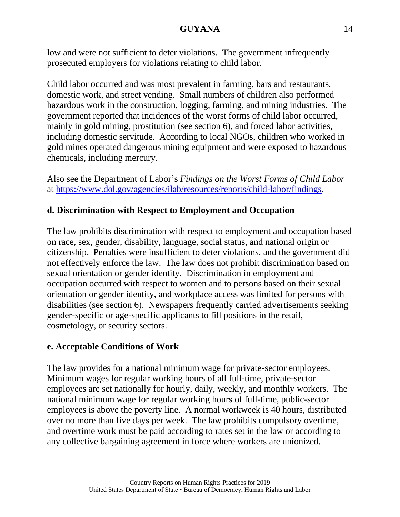low and were not sufficient to deter violations. The government infrequently prosecuted employers for violations relating to child labor.

Child labor occurred and was most prevalent in farming, bars and restaurants, domestic work, and street vending. Small numbers of children also performed hazardous work in the construction, logging, farming, and mining industries. The government reported that incidences of the worst forms of child labor occurred, mainly in gold mining, prostitution (see section 6), and forced labor activities, including domestic servitude. According to local NGOs, children who worked in gold mines operated dangerous mining equipment and were exposed to hazardous chemicals, including mercury.

Also see the Department of Labor's *Findings on the Worst Forms of Child Labor* at [https://www.dol.gov/agencies/ilab/resources/reports/child-labor/findings.](https://www.dol.gov/agencies/ilab/resources/reports/child-labor/findings)

# **d. Discrimination with Respect to Employment and Occupation**

The law prohibits discrimination with respect to employment and occupation based on race, sex, gender, disability, language, social status, and national origin or citizenship. Penalties were insufficient to deter violations, and the government did not effectively enforce the law. The law does not prohibit discrimination based on sexual orientation or gender identity. Discrimination in employment and occupation occurred with respect to women and to persons based on their sexual orientation or gender identity, and workplace access was limited for persons with disabilities (see section 6). Newspapers frequently carried advertisements seeking gender-specific or age-specific applicants to fill positions in the retail, cosmetology, or security sectors.

## **e. Acceptable Conditions of Work**

The law provides for a national minimum wage for private-sector employees. Minimum wages for regular working hours of all full-time, private-sector employees are set nationally for hourly, daily, weekly, and monthly workers. The national minimum wage for regular working hours of full-time, public-sector employees is above the poverty line. A normal workweek is 40 hours, distributed over no more than five days per week. The law prohibits compulsory overtime, and overtime work must be paid according to rates set in the law or according to any collective bargaining agreement in force where workers are unionized.